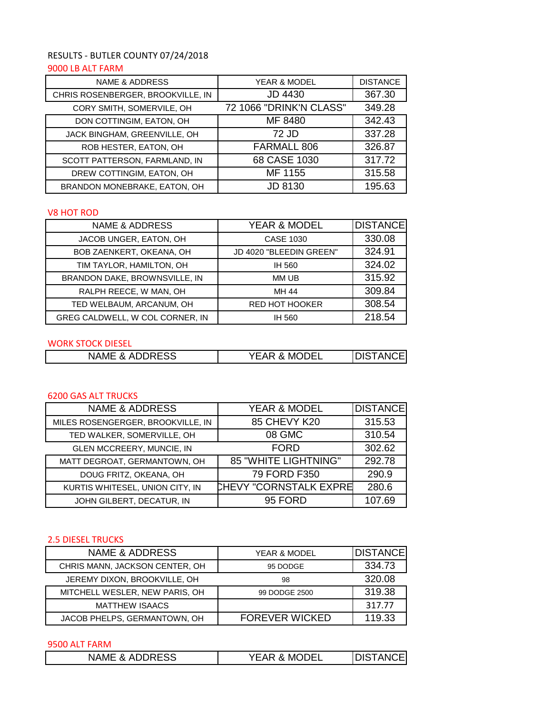# RESULTS - BUTLER COUNTY 07/24/2018 9000 LB ALT FARM

| <b>NAME &amp; ADDRESS</b>         | <b>YEAR &amp; MODEL</b> | <b>DISTANCE</b> |
|-----------------------------------|-------------------------|-----------------|
| CHRIS ROSENBERGER, BROOKVILLE, IN | <b>JD 4430</b>          | 367.30          |
| CORY SMITH, SOMERVILE, OH         | 72 1066 "DRINK'N CLASS" | 349.28          |
| DON COTTINGIM, EATON, OH          | MF 8480                 | 342.43          |
| JACK BINGHAM, GREENVILLE, OH      | 72 JD                   | 337.28          |
| ROB HESTER, EATON, OH             | FARMALL 806             | 326.87          |
| SCOTT PATTERSON, FARMLAND, IN     | 68 CASE 1030            | 317.72          |
| DREW COTTINGIM, EATON, OH         | MF 1155                 | 315.58          |
| BRANDON MONEBRAKE, EATON, OH      | JD 8130                 | 195.63          |

### V8 HOT ROD

| <b>NAME &amp; ADDRESS</b>       | <b>YEAR &amp; MODEL</b> | <b>DISTANCE</b> |
|---------------------------------|-------------------------|-----------------|
| JACOB UNGER, EATON, OH          | <b>CASE 1030</b>        | 330.08          |
| BOB ZAENKERT, OKEANA, OH        | JD 4020 "BLEEDIN GREEN" | 324.91          |
| TIM TAYLOR, HAMILTON, OH        | IH 560                  | 324.02          |
| BRANDON DAKE, BROWNSVILLE, IN   | MM UB                   | 315.92          |
| RALPH REECE, W MAN, OH          | MH 44                   | 309.84          |
| TED WELBAUM, ARCANUM, OH        | <b>RED HOT HOOKER</b>   | 308.54          |
| GREG CALDWELL, W COL CORNER, IN | IH 560                  | 218.54          |

### WORK STOCK DIESEL

| <b>ADDRESS</b><br>&<br>NAME | MODEL<br>0<br>VEAL<br>$\sim$ | <b>TANCE</b><br>`ירור |
|-----------------------------|------------------------------|-----------------------|
|                             |                              |                       |

## 6200 GAS ALT TRUCKS

| <b>NAME &amp; ADDRESS</b>         | YEAR & MODEL                  | <b>DISTANCE</b> |
|-----------------------------------|-------------------------------|-----------------|
| MILES ROSENGERGER, BROOKVILLE, IN | 85 CHEVY K20                  | 315.53          |
| TED WALKER, SOMERVILLE, OH        | 08 GMC                        | 310.54          |
| GLEN MCCREERY, MUNCIE, IN         | <b>FORD</b>                   | 302.62          |
| MATT DEGROAT, GERMANTOWN, OH      | <b>85 "WHITE LIGHTNING"</b>   | 292.78          |
| DOUG FRITZ, OKEANA, OH            | 79 FORD F350                  | 290.9           |
| KURTIS WHITESEL, UNION CITY, IN   | <b>CHEVY "CORNSTALK EXPRE</b> | 280.6           |
| JOHN GILBERT, DECATUR, IN         | 95 FORD                       | 107.69          |

### 2.5 DIESEL TRUCKS

| <b>NAME &amp; ADDRESS</b>      | <b>YEAR &amp; MODEL</b> | <b>DISTANCE</b> |
|--------------------------------|-------------------------|-----------------|
| CHRIS MANN, JACKSON CENTER, OH | 95 DODGE                | 334.73          |
| JEREMY DIXON, BROOKVILLE, OH   | 98                      | 320.08          |
| MITCHELL WESLER, NEW PARIS, OH | 99 DODGE 2500           | 319.38          |
| <b>MATTHEW ISAACS</b>          |                         | 317.77          |
| JACOB PHELPS, GERMANTOWN, OH   | <b>FOREVER WICKED</b>   | 119.33          |

## 9500 ALT FARM

|--|